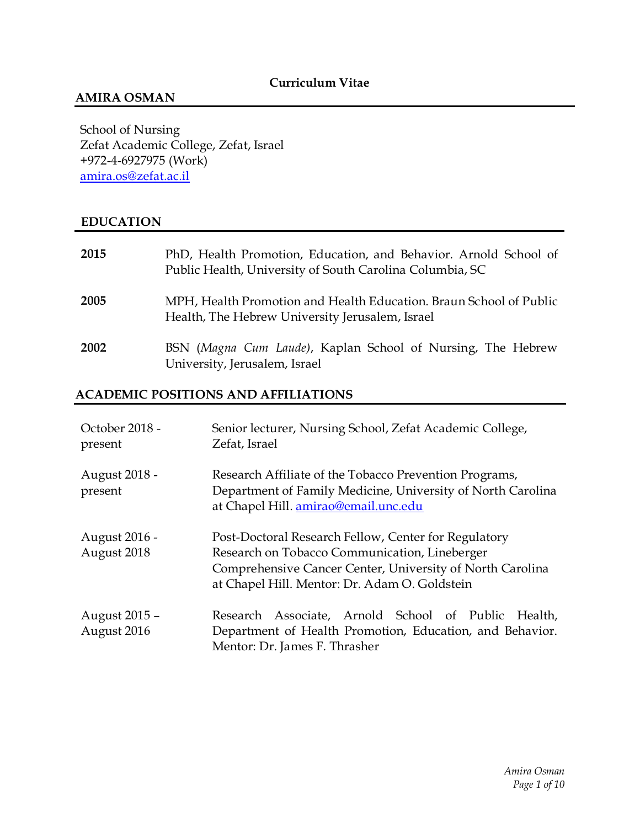# **AMIRA OSMAN**

School of Nursing Zefat Academic College, Zefat, Israel +972-4-6927975 (Work) [amira.os@zefat.ac.il](mailto:amira.os@zefat.ac.il) 

# **EDUCATION**

| 2015 | PhD, Health Promotion, Education, and Behavior. Arnold School of<br>Public Health, University of South Carolina Columbia, SC |
|------|------------------------------------------------------------------------------------------------------------------------------|
| 2005 | MPH, Health Promotion and Health Education. Braun School of Public<br>Health, The Hebrew University Jerusalem, Israel        |
| 2002 | BSN (Magna Cum Laude), Kaplan School of Nursing, The Hebrew<br>University, Jerusalem, Israel                                 |

### **ACADEMIC POSITIONS AND AFFILIATIONS**

| October 2018 -<br>present    | Senior lecturer, Nursing School, Zefat Academic College,<br>Zefat, Israel                                                                                                                                           |
|------------------------------|---------------------------------------------------------------------------------------------------------------------------------------------------------------------------------------------------------------------|
| August 2018 -<br>present     | Research Affiliate of the Tobacco Prevention Programs,<br>Department of Family Medicine, University of North Carolina<br>at Chapel Hill. amirao@email.unc.edu                                                       |
| August 2016 -<br>August 2018 | Post-Doctoral Research Fellow, Center for Regulatory<br>Research on Tobacco Communication, Lineberger<br>Comprehensive Cancer Center, University of North Carolina<br>at Chapel Hill. Mentor: Dr. Adam O. Goldstein |
| August 2015 –<br>August 2016 | Research Associate, Arnold School of Public Health,<br>Department of Health Promotion, Education, and Behavior.<br>Mentor: Dr. James F. Thrasher                                                                    |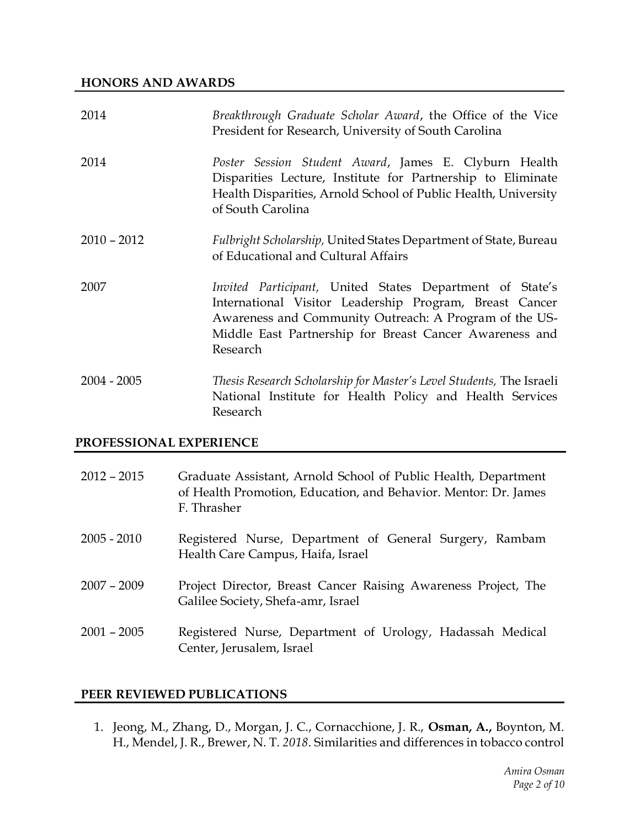#### **HONORS AND AWARDS**

| 2014          | Breakthrough Graduate Scholar Award, the Office of the Vice<br>President for Research, University of South Carolina                                                                                                                                  |
|---------------|------------------------------------------------------------------------------------------------------------------------------------------------------------------------------------------------------------------------------------------------------|
| 2014          | Poster Session Student Award, James E. Clyburn Health<br>Disparities Lecture, Institute for Partnership to Eliminate<br>Health Disparities, Arnold School of Public Health, University<br>of South Carolina                                          |
| $2010 - 2012$ | Fulbright Scholarship, United States Department of State, Bureau<br>of Educational and Cultural Affairs                                                                                                                                              |
| 2007          | Invited Participant, United States Department of State's<br>International Visitor Leadership Program, Breast Cancer<br>Awareness and Community Outreach: A Program of the US-<br>Middle East Partnership for Breast Cancer Awareness and<br>Research |
| $2004 - 2005$ | Thesis Research Scholarship for Master's Level Students, The Israeli<br>National Institute for Health Policy and Health Services<br>Research                                                                                                         |

#### **PROFESSIONAL EXPERIENCE**

| $2012 - 2015$ | Graduate Assistant, Arnold School of Public Health, Department<br>of Health Promotion, Education, and Behavior. Mentor: Dr. James<br>F. Thrasher |
|---------------|--------------------------------------------------------------------------------------------------------------------------------------------------|
| $2005 - 2010$ | Registered Nurse, Department of General Surgery, Rambam<br>Health Care Campus, Haifa, Israel                                                     |
| $2007 - 2009$ | Project Director, Breast Cancer Raising Awareness Project, The<br>Galilee Society, Shefa-amr, Israel                                             |
| $2001 - 2005$ | Registered Nurse, Department of Urology, Hadassah Medical<br>Center, Jerusalem, Israel                                                           |

#### **PEER REVIEWED PUBLICATIONS**

1. Jeong, M., Zhang, D., Morgan, J. C., Cornacchione, J. R., **Osman, A.,** Boynton, M. H., Mendel, J. R., Brewer, N. T. *2018*. Similarities and differences in tobacco control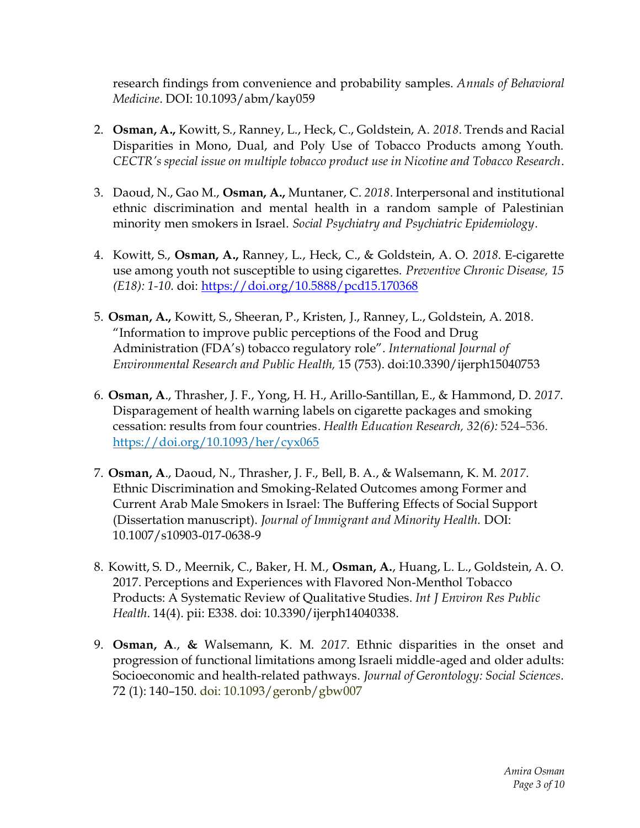research findings from convenience and probability samples. *Annals of Behavioral Medicine*. DOI: 10.1093/abm/kay059

- 2. **Osman, A.,** Kowitt, S., Ranney, L., Heck, C., Goldstein, A. *2018*. Trends and Racial Disparities in Mono, Dual, and Poly Use of Tobacco Products among Youth. *CECTR's special issue on multiple tobacco product use in Nicotine and Tobacco Research*.
- 3. Daoud, N., Gao M., **Osman, A.,** Muntaner, C. *2018*. Interpersonal and institutional ethnic discrimination and mental health in a random sample of Palestinian minority men smokers in Israel. *Social Psychiatry and Psychiatric Epidemiology*.
- 4. Kowitt, S., **Osman, A.,** Ranney, L., Heck, C., & Goldstein, A. O. *2018*. E-cigarette use among youth not susceptible to using cigarettes. *Preventive Chronic Disease, 15 (E18): 1-10.* doi:<https://doi.org/10.5888/pcd15.170368>
- 5. **Osman, A.,** Kowitt, S., Sheeran, P., Kristen, J., Ranney, L., Goldstein, A. 2018. "Information to improve public perceptions of the Food and Drug Administration (FDA's) tobacco regulatory role". *International Journal of Environmental Research and Public Health,* 15 (753). doi:10.3390/ijerph15040753
- 6. **Osman, A**., Thrasher, J. F., Yong, H. H., Arillo-Santillan, E., & Hammond, D. *2017*. Disparagement of health warning labels on cigarette packages and smoking cessation: results from four countries. *Health Education Research, 32(6):* 524–536. <https://doi.org/10.1093/her/cyx065>
- 7. **Osman, A**., Daoud, N., Thrasher, J. F., Bell, B. A., & Walsemann, K. M. *2017*. Ethnic Discrimination and Smoking-Related Outcomes among Former and Current Arab Male Smokers in Israel: The Buffering Effects of Social Support (Dissertation manuscript). *Journal of Immigrant and Minority Health.* DOI: 10.1007/s10903-017-0638-9
- 8. Kowitt, S. D., Meernik, C., Baker, H. M., **Osman, A.**, Huang, L. L., Goldstein, A. O. 2017. Perceptions and Experiences with Flavored Non-Menthol Tobacco Products: A Systematic Review of Qualitative Studies. *Int J Environ Res Public Health*. 14(4). pii: E338. doi: 10.3390/ijerph14040338.
- 9. **Osman, A**., **&** Walsemann, K. M. *2017*. Ethnic disparities in the onset and progression of functional limitations among Israeli middle-aged and older adults: Socioeconomic and health-related pathways. *Journal of Gerontology: Social Sciences.* 72 (1): 140–150. doi: 10.1093/geronb/gbw007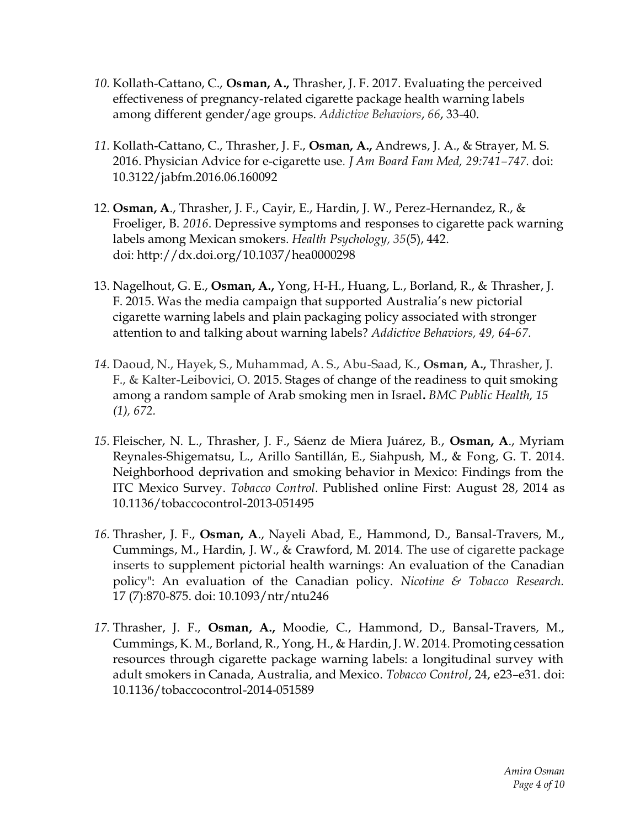- *10.* Kollath-Cattano, C., **Osman, A.,** Thrasher, J. F. 2017. Evaluating the perceived effectiveness of pregnancy-related cigarette package health warning labels among different gender/age groups. *Addictive Behaviors*, *66*, 33-40.
- *11.* Kollath-Cattano, C., Thrasher, J. F., **Osman, A.,** Andrews, J. A., & Strayer, M. S. 2016. Physician Advice for e-cigarette use*. J Am Board Fam Med, 29:741–747.* doi: 10.3122/jabfm.2016.06.160092
- 12. **Osman, A**., Thrasher, J. F., Cayir, E., Hardin, J. W., Perez-Hernandez, R., & Froeliger, B. *2016*. Depressive symptoms and responses to cigarette pack warning labels among Mexican smokers. *Health Psychology, 35*(5), 442. doi: [http://dx.doi.org/10.1037/hea0000298](http://psycnet.apa.org/doi/10.1037/hea0000298)
- 13. Nagelhout, G. E., **Osman, A.,** Yong, H-H., Huang, L., Borland, R., & Thrasher, J. F. 2015. Was the media campaign that supported Australia's new pictorial cigarette warning labels and plain packaging policy associated with stronger attention to and talking about warning labels? *Addictive Behaviors, 49, 64-67*.
- *14.* Daoud, N., Hayek, S., Muhammad, A. S., Abu-Saad, K., **Osman, A.,** Thrasher, J. F., & Kalter-Leibovici, O. 2015. Stages of change of the readiness to quit smoking among a random sample of Arab smoking men in Israel**.** *BMC Public Health, 15 (1), 672.*
- *15.* Fleischer, N. L., Thrasher, J. F., Sáenz de Miera Juárez, B., **Osman, A**., Myriam Reynales-Shigematsu, L., Arillo Santillán, E., Siahpush, M., & Fong, G. T. 2014. Neighborhood deprivation and smoking behavior in Mexico: Findings from the ITC Mexico Survey. *Tobacco Control*. Published online First: August 28, 2014 as 10.1136/tobaccocontrol-2013-051495
- *16.* Thrasher, J. F., **Osman, A**., Nayeli Abad, E., Hammond, D., Bansal-Travers, M., Cummings, M., Hardin, J. W., & Crawford, M. 2014. The use of cigarette package inserts to supplement pictorial health warnings: An evaluation of the Canadian policy": An evaluation of the Canadian policy. *Nicotine & Tobacco Research.* 17 (7):870-875. doi: 10.1093/ntr/ntu246
- *17.* Thrasher, J. F., **Osman, A.,** Moodie, C., Hammond, D., Bansal-Travers, M., Cummings, K. M., Borland, R., Yong, H., & Hardin, J. W. 2014. Promoting cessation resources through cigarette package warning labels: a longitudinal survey with adult smokers in Canada, Australia, and Mexico. *Tobacco Control*, 24, e23–e31. doi: 10.1136/tobaccocontrol-2014-051589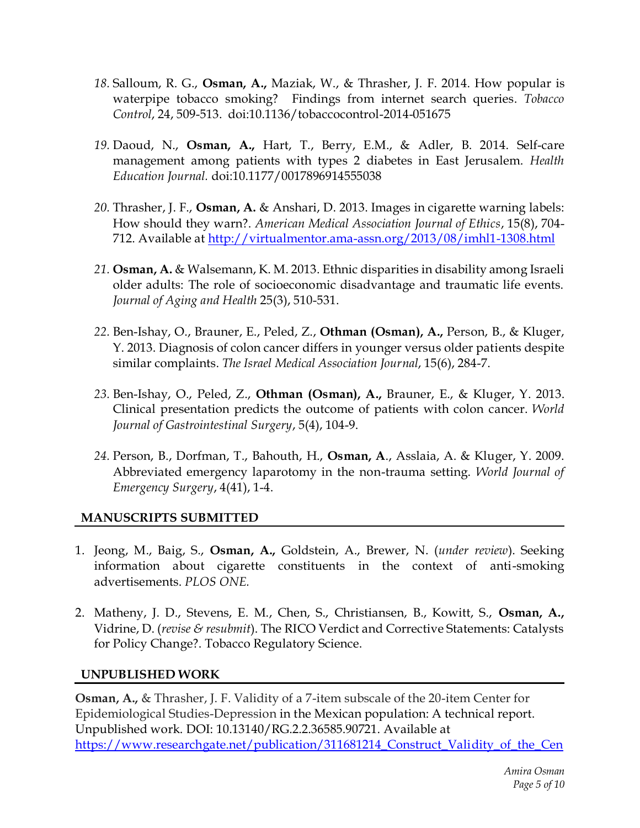- *18.* Salloum, R. G., **Osman, A.,** Maziak, W., & Thrasher, J. F. 2014. How popular is waterpipe tobacco smoking? Findings from internet search queries. *Tobacco Control*, 24, 509-513. doi:10.1136/tobaccocontrol-2014-051675
- *19.* Daoud, N., **Osman, A.,** Hart, T., Berry, E.M., & Adler, B. 2014. Self-care management among patients with types 2 diabetes in East Jerusalem. *Health Education Journal.* doi:10.1177/0017896914555038
- *20.* Thrasher, J. F., **Osman, A.** & Anshari, D. 2013. Images in cigarette warning labels: How should they warn?. *American Medical Association Journal of Ethics*, 15(8), 704 712. Available at<http://virtualmentor.ama-assn.org/2013/08/imhl1-1308.html>
- *21.* **Osman, A.** & Walsemann, K. M. 2013. Ethnic disparities in disability among Israeli older adults: The role of socioeconomic disadvantage and traumatic life events. *Journal of Aging and Health* 25(3), 510-531.
- *22.* [Ben-Ishay, O.](http://www.ncbi.nlm.nih.gov/pubmed?term=Ben-Ishay%20O%5BAuthor%5D&cauthor=true&cauthor_uid=23882892), [Brauner, E.](http://www.ncbi.nlm.nih.gov/pubmed?term=Brauner%20E%5BAuthor%5D&cauthor=true&cauthor_uid=23882892), [Peled, Z.](http://www.ncbi.nlm.nih.gov/pubmed?term=Peled%20Z%5BAuthor%5D&cauthor=true&cauthor_uid=23882892), **[Othman \(Osman\), A.](http://www.ncbi.nlm.nih.gov/pubmed?term=Othman%20A%5BAuthor%5D&cauthor=true&cauthor_uid=23882892),** [Person, B.](http://www.ncbi.nlm.nih.gov/pubmed?term=Person%20B%5BAuthor%5D&cauthor=true&cauthor_uid=23882892), & [Kluger,](http://www.ncbi.nlm.nih.gov/pubmed?term=Kluger%20Y%5BAuthor%5D&cauthor=true&cauthor_uid=23882892)  [Y.](http://www.ncbi.nlm.nih.gov/pubmed?term=Kluger%20Y%5BAuthor%5D&cauthor=true&cauthor_uid=23882892) 2013. Diagnosis of colon cancer differs in younger versus older patients despite similar complaints. *The Israel Medical Association Journal*, 15(6), 284-7.
- *23.* [Ben-Ishay, O.](http://www.ncbi.nlm.nih.gov/pubmed?term=Ben-Ishay%20O%5BAuthor%5D&cauthor=true&cauthor_uid=23671736), [Peled, Z.](http://www.ncbi.nlm.nih.gov/pubmed?term=Peled%20Z%5BAuthor%5D&cauthor=true&cauthor_uid=23671736), **Othman [\(Osman\), A.](http://www.ncbi.nlm.nih.gov/pubmed?term=Othman%20A%5BAuthor%5D&cauthor=true&cauthor_uid=23671736),** [Brauner, E.](http://www.ncbi.nlm.nih.gov/pubmed?term=Brauner%20E%5BAuthor%5D&cauthor=true&cauthor_uid=23671736), & [Kluger, Y.](http://www.ncbi.nlm.nih.gov/pubmed?term=Kluger%20Y%5BAuthor%5D&cauthor=true&cauthor_uid=23671736) 2013. Clinical presentation predicts the outcome of patients with colon cancer. *[World](http://www.ncbi.nlm.nih.gov/pubmed/?term=Clinical+Presentation+Predicts+the+Outcome+of+Patients+with+Colon+Cancer)  [Journal of Gastrointestinal Surgery](http://www.ncbi.nlm.nih.gov/pubmed/?term=Clinical+Presentation+Predicts+the+Outcome+of+Patients+with+Colon+Cancer)*, 5(4), 104-9.
- *24.* Person, B., Dorfman, T., Bahouth, H., **Osman, A**., Asslaia, A. & Kluger, Y. 2009. Abbreviated emergency laparotomy in the non-trauma setting. *World Journal of Emergency Surgery*, 4(41), 1-4.

### **MANUSCRIPTS SUBMITTED**

- 1. Jeong, M., Baig, S., **Osman, A.,** Goldstein, A., Brewer, N. (*under review*). Seeking information about cigarette constituents in the context of anti-smoking advertisements. *PLOS ONE.*
- 2. Matheny, J. D., Stevens, E. M., Chen, S., Christiansen, B., Kowitt, S., **Osman, A.,** Vidrine, D. (*revise & resubmit*). The RICO Verdict and Corrective Statements: Catalysts for Policy Change?. Tobacco Regulatory Science.

#### **UNPUBLISHED WORK**

**Osman, A.,** & Thrasher, J. F. Validity of a 7-item subscale of the 20-item Center for Epidemiological Studies-Depression in the Mexican population: A technical report. Unpublished work. DOI: 10.13140/RG.2.2.36585.90721. Available at [https://www.researchgate.net/publication/311681214\\_Construct\\_Validity\\_of\\_the\\_Cen](https://www.researchgate.net/publication/311681214_Construct_Validity_of_the_Center_for_Epidemiological_Studies_Depression_7_Item_Scale_in_the_Mexican_Population?showFulltext=1&linkId=585456b408ae8f695553d1c2)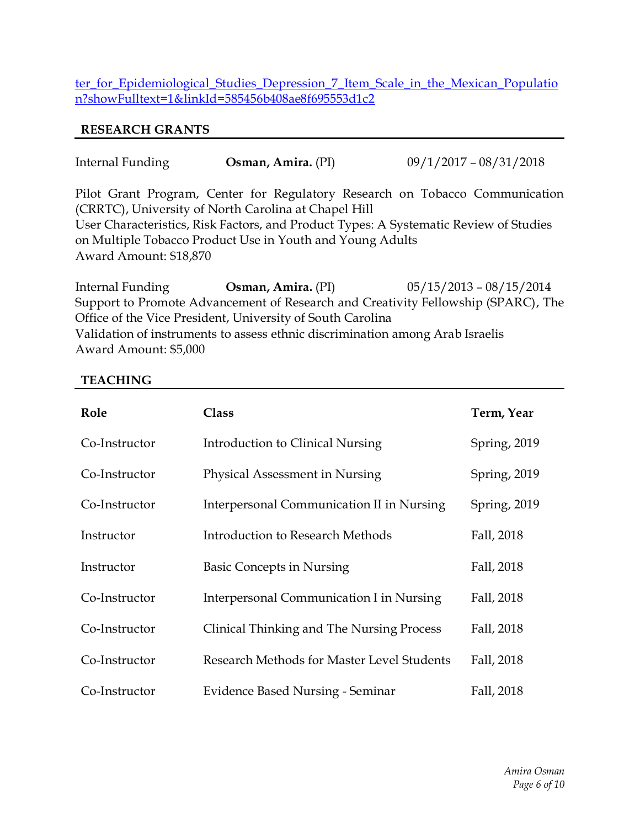[ter\\_for\\_Epidemiological\\_Studies\\_Depression\\_7\\_Item\\_Scale\\_in\\_the\\_Mexican\\_Populatio](https://www.researchgate.net/publication/311681214_Construct_Validity_of_the_Center_for_Epidemiological_Studies_Depression_7_Item_Scale_in_the_Mexican_Population?showFulltext=1&linkId=585456b408ae8f695553d1c2) [n?showFulltext=1&linkId=585456b408ae8f695553d1c2](https://www.researchgate.net/publication/311681214_Construct_Validity_of_the_Center_for_Epidemiological_Studies_Depression_7_Item_Scale_in_the_Mexican_Population?showFulltext=1&linkId=585456b408ae8f695553d1c2)

#### **RESEARCH GRANTS**

| Internal Funding       | Osman, Amira. (PI)                                        | $09/1/2017 - 08/31/2018$                                                              |
|------------------------|-----------------------------------------------------------|---------------------------------------------------------------------------------------|
|                        | (CRRTC), University of North Carolina at Chapel Hill      | Pilot Grant Program, Center for Regulatory Research on Tobacco Communication          |
|                        |                                                           | User Characteristics, Risk Factors, and Product Types: A Systematic Review of Studies |
|                        | on Multiple Tobacco Product Use in Youth and Young Adults |                                                                                       |
| Award Amount: \$18,870 |                                                           |                                                                                       |
|                        |                                                           |                                                                                       |

Internal Funding **Osman, Amira.** (PI) 05/15/2013 – 08/15/2014 Support to Promote Advancement of Research and Creativity Fellowship (SPARC), The Office of the Vice President, University of South Carolina Validation of instruments to assess ethnic discrimination among Arab Israelis Award Amount: \$5,000

#### **TEACHING**

| Role          | <b>Class</b>                               | Term, Year   |
|---------------|--------------------------------------------|--------------|
| Co-Instructor | Introduction to Clinical Nursing           | Spring, 2019 |
| Co-Instructor | Physical Assessment in Nursing             | Spring, 2019 |
| Co-Instructor | Interpersonal Communication II in Nursing  | Spring, 2019 |
| Instructor    | Introduction to Research Methods           | Fall, 2018   |
| Instructor    | <b>Basic Concepts in Nursing</b>           | Fall, 2018   |
| Co-Instructor | Interpersonal Communication I in Nursing   | Fall, 2018   |
| Co-Instructor | Clinical Thinking and The Nursing Process  | Fall, 2018   |
| Co-Instructor | Research Methods for Master Level Students | Fall, 2018   |
| Co-Instructor | <b>Evidence Based Nursing - Seminar</b>    | Fall, 2018   |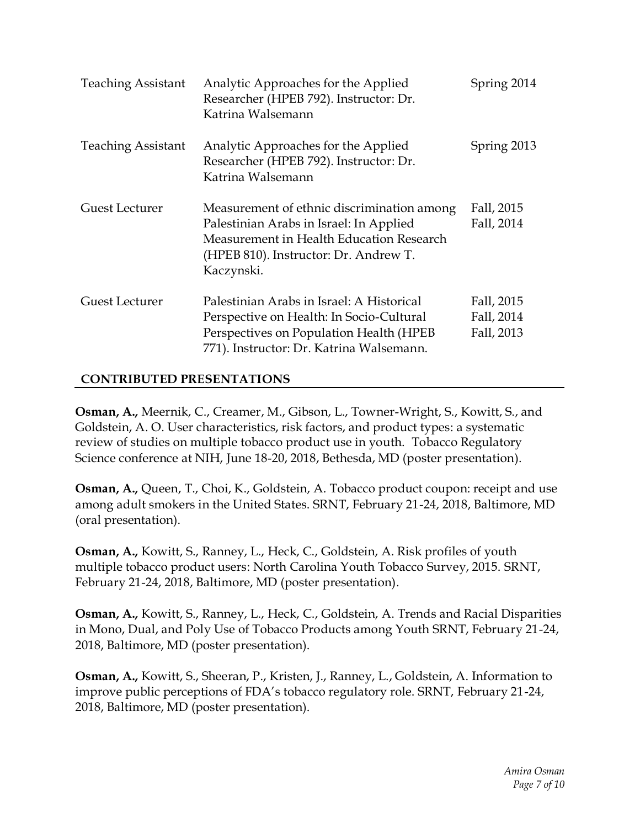| <b>Teaching Assistant</b> | Analytic Approaches for the Applied<br>Researcher (HPEB 792). Instructor: Dr.<br>Katrina Walsemann                                                                                       | Spring 2014                            |
|---------------------------|------------------------------------------------------------------------------------------------------------------------------------------------------------------------------------------|----------------------------------------|
| <b>Teaching Assistant</b> | Analytic Approaches for the Applied<br>Researcher (HPEB 792). Instructor: Dr.<br>Katrina Walsemann                                                                                       | Spring 2013                            |
| <b>Guest Lecturer</b>     | Measurement of ethnic discrimination among<br>Palestinian Arabs in Israel: In Applied<br>Measurement in Health Education Research<br>(HPEB 810). Instructor: Dr. Andrew T.<br>Kaczynski. | Fall, 2015<br>Fall, 2014               |
| Guest Lecturer            | Palestinian Arabs in Israel: A Historical<br>Perspective on Health: In Socio-Cultural<br>Perspectives on Population Health (HPEB<br>771). Instructor: Dr. Katrina Walsemann.             | Fall, 2015<br>Fall, 2014<br>Fall, 2013 |

#### **CONTRIBUTED PRESENTATIONS**

**Osman, A.,** Meernik, C., Creamer, M., Gibson, L., Towner-Wright, S., Kowitt, S., and Goldstein, A. O. User characteristics, risk factors, and product types: a systematic review of studies on multiple tobacco product use in youth. Tobacco Regulatory Science conference at NIH, June 18-20, 2018, Bethesda, MD (poster presentation).

**Osman, A.,** Queen, T., Choi, K., Goldstein, A. Tobacco product coupon: receipt and use among adult smokers in the United States. SRNT, February 21-24, 2018, Baltimore, MD (oral presentation).

**Osman, A.,** Kowitt, S., Ranney, L., Heck, C., Goldstein, A. Risk profiles of youth multiple tobacco product users: North Carolina Youth Tobacco Survey, 2015. SRNT, February 21-24, 2018, Baltimore, MD (poster presentation).

**Osman, A.,** Kowitt, S., Ranney, L., Heck, C., Goldstein, A. Trends and Racial Disparities in Mono, Dual, and Poly Use of Tobacco Products among Youth SRNT, February 21-24, 2018, Baltimore, MD (poster presentation).

**Osman, A.,** Kowitt, S., Sheeran, P., Kristen, J., Ranney, L., Goldstein, A. Information to improve public perceptions of FDA's tobacco regulatory role. SRNT, February 21-24, 2018, Baltimore, MD (poster presentation).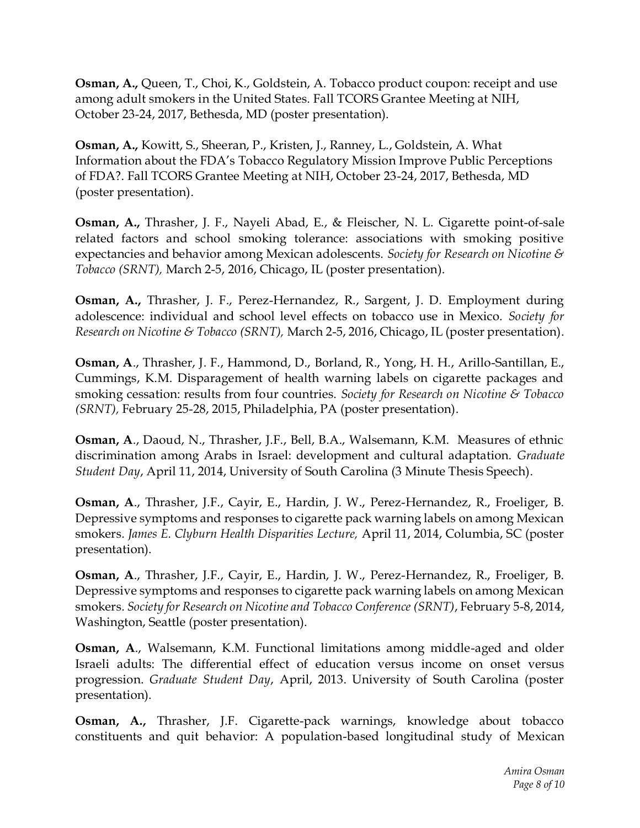**Osman, A.,** Queen, T., Choi, K., Goldstein, A. Tobacco product coupon: receipt and use among adult smokers in the United States. Fall TCORS Grantee Meeting at NIH, October 23-24, 2017, Bethesda, MD (poster presentation).

**Osman, A.,** Kowitt, S., Sheeran, P., Kristen, J., Ranney, L., Goldstein, A. What Information about the FDA's Tobacco Regulatory Mission Improve Public Perceptions of FDA?. Fall TCORS Grantee Meeting at NIH, October 23-24, 2017, Bethesda, MD (poster presentation).

**Osman, A.,** Thrasher, J. F., Nayeli Abad, E., & Fleischer, N. L. Cigarette point-of-sale related factors and school smoking tolerance: associations with smoking positive expectancies and behavior among Mexican adolescents. *Society for Research on Nicotine & Tobacco (SRNT),* March 2-5, 2016, Chicago, IL (poster presentation).

**Osman, A.,** Thrasher, J. F., Perez-Hernandez, R., Sargent, J. D. Employment during adolescence: individual and school level effects on tobacco use in Mexico. *Society for Research on Nicotine & Tobacco (SRNT),* March 2-5, 2016, Chicago, IL (poster presentation).

**Osman, A**., Thrasher, J. F., Hammond, D., Borland, R., Yong, H. H., Arillo-Santillan, E., Cummings, K.M. Disparagement of health warning labels on cigarette packages and smoking cessation: results from four countries. *Society for Research on Nicotine & Tobacco (SRNT),* February 25-28, 2015, Philadelphia, PA (poster presentation).

**Osman, A**., Daoud, N., Thrasher, J.F., Bell, B.A., Walsemann, K.M. Measures of ethnic discrimination among Arabs in Israel: development and cultural adaptation. *Graduate Student Day*, April 11, 2014, University of South Carolina (3 Minute Thesis Speech).

**Osman, A**., Thrasher, J.F., Cayir, E., Hardin, J. W., Perez-Hernandez, R., Froeliger, B. Depressive symptoms and responses to cigarette pack warning labels on among Mexican smokers. *James E. Clyburn Health Disparities Lecture,* April 11, 2014, Columbia, SC (poster presentation).

**Osman, A**., Thrasher, J.F., Cayir, E., Hardin, J. W., Perez-Hernandez, R., Froeliger, B. Depressive symptoms and responses to cigarette pack warning labels on among Mexican smokers. *Society for Research on Nicotine and Tobacco Conference (SRNT)*, February 5-8, 2014, Washington, Seattle (poster presentation).

**Osman, A**., Walsemann, K.M. Functional limitations among middle-aged and older Israeli adults: The differential effect of education versus income on onset versus progression. *Graduate Student Day*, April, 2013. University of South Carolina (poster presentation).

**Osman, A.,** Thrasher, J.F. Cigarette-pack warnings, knowledge about tobacco constituents and quit behavior: A population-based longitudinal study of Mexican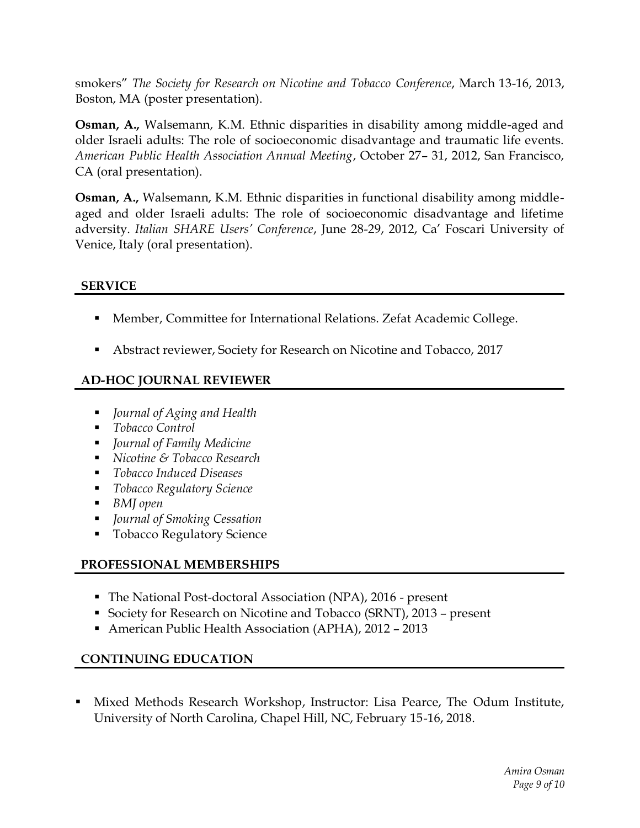smokers" *The Society for Research on Nicotine and Tobacco Conference*, March 13-16, 2013, Boston, MA (poster presentation).

**Osman, A.,** Walsemann, K.M. Ethnic disparities in disability among middle-aged and older Israeli adults: The role of socioeconomic disadvantage and traumatic life events. *American Public Health Association Annual Meeting*, October 27– 31, 2012, San Francisco, CA (oral presentation).

**Osman, A.,** Walsemann, K.M. Ethnic disparities in functional disability among middleaged and older Israeli adults: The role of socioeconomic disadvantage and lifetime adversity. *Italian SHARE Users' Conference*, June 28-29, 2012, Ca' Foscari University of Venice, Italy (oral presentation).

#### **SERVICE**

- Member, Committee for International Relations. Zefat Academic College.
- Abstract reviewer, Society for Research on Nicotine and Tobacco, 2017

# **AD-HOC JOURNAL REVIEWER**

- *Journal of Aging and Health*
- *Tobacco Control*
- *Journal of Family Medicine*
- *Nicotine & Tobacco Research*
- *Tobacco Induced Diseases*
- *Tobacco Regulatory Science*
- *BMI open*
- *Journal of Smoking Cessation*
- **Tobacco Regulatory Science**

# **PROFESSIONAL MEMBERSHIPS**

- The National Post-doctoral Association (NPA), 2016 present
- Society for Research on Nicotine and Tobacco (SRNT), 2013 present
- American Public Health Association (APHA), 2012 2013

# **CONTINUING EDUCATION**

Mixed Methods Research Workshop, Instructor: Lisa Pearce, The Odum Institute, University of North Carolina, Chapel Hill, NC, February 15-16, 2018.